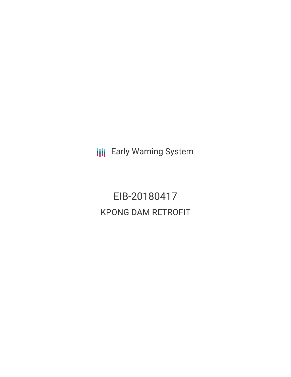**III** Early Warning System

EIB-20180417 KPONG DAM RETROFIT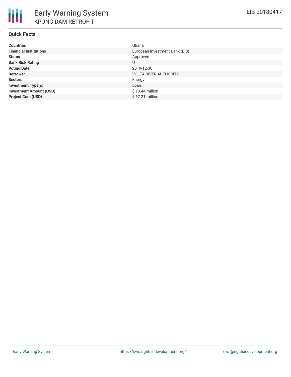| <b>Countries</b>               | Ghana                          |
|--------------------------------|--------------------------------|
| <b>Financial Institutions</b>  | European Investment Bank (EIB) |
| <b>Status</b>                  | Approved                       |
| <b>Bank Risk Rating</b>        | U                              |
| <b>Voting Date</b>             | 2019-12-30                     |
| <b>Borrower</b>                | <b>VOLTA RIVER AUTHORITY</b>   |
| <b>Sectors</b>                 | Energy                         |
| <b>Investment Type(s)</b>      | Loan                           |
| <b>Investment Amount (USD)</b> | $$13.44$ million               |
| <b>Project Cost (USD)</b>      | $$67.21$ million               |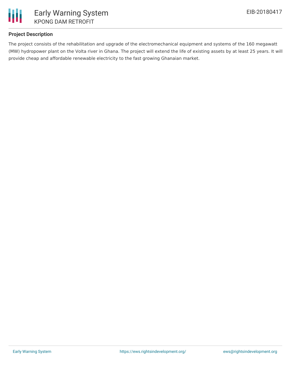

# **Project Description**

The project consists of the rehabilitation and upgrade of the electromechanical equipment and systems of the 160 megawatt (MW) hydropower plant on the Volta river in Ghana. The project will extend the life of existing assets by at least 25 years. It will provide cheap and affordable renewable electricity to the fast growing Ghanaian market.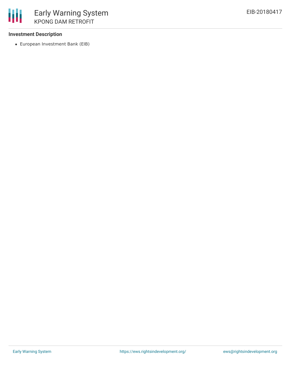### **Investment Description**

European Investment Bank (EIB)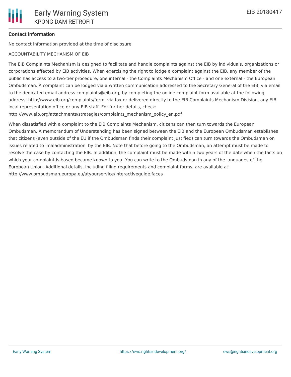### **Contact Information**

No contact information provided at the time of disclosure

#### ACCOUNTABILITY MECHANISM OF EIB

The EIB Complaints Mechanism is designed to facilitate and handle complaints against the EIB by individuals, organizations or corporations affected by EIB activities. When exercising the right to lodge a complaint against the EIB, any member of the public has access to a two-tier procedure, one internal - the Complaints Mechanism Office - and one external - the European Ombudsman. A complaint can be lodged via a written communication addressed to the Secretary General of the EIB, via email to the dedicated email address complaints@eib.org, by completing the online complaint form available at the following address: http://www.eib.org/complaints/form, via fax or delivered directly to the EIB Complaints Mechanism Division, any EIB local representation office or any EIB staff. For further details, check:

http://www.eib.org/attachments/strategies/complaints\_mechanism\_policy\_en.pdf

When dissatisfied with a complaint to the EIB Complaints Mechanism, citizens can then turn towards the European Ombudsman. A memorandum of Understanding has been signed between the EIB and the European Ombudsman establishes that citizens (even outside of the EU if the Ombudsman finds their complaint justified) can turn towards the Ombudsman on issues related to 'maladministration' by the EIB. Note that before going to the Ombudsman, an attempt must be made to resolve the case by contacting the EIB. In addition, the complaint must be made within two years of the date when the facts on which your complaint is based became known to you. You can write to the Ombudsman in any of the languages of the European Union. Additional details, including filing requirements and complaint forms, are available at: http://www.ombudsman.europa.eu/atyourservice/interactiveguide.faces